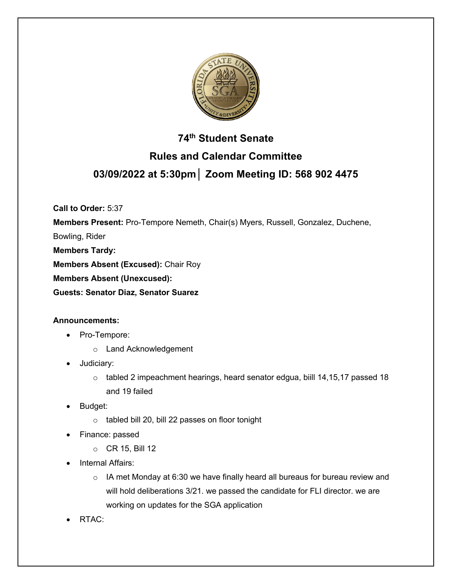

# **74th Student Senate Rules and Calendar Committee 03/09/2022 at 5:30pm│ Zoom Meeting ID: 568 902 4475**

**Call to Order:** 5:37

**Members Present:** Pro-Tempore Nemeth, Chair(s) Myers, Russell, Gonzalez, Duchene,

Bowling, Rider

**Members Tardy:**

**Members Absent (Excused):** Chair Roy

**Members Absent (Unexcused):**

**Guests: Senator Diaz, Senator Suarez**

## **Announcements:**

- Pro-Tempore:
	- o Land Acknowledgement
- Judiciary:
	- $\circ$  tabled 2 impeachment hearings, heard senator edgua, biill 14,15,17 passed 18 and 19 failed
- Budget:
	- o tabled bill 20, bill 22 passes on floor tonight
- Finance: passed
	- o CR 15, Bill 12
- **Internal Affairs:** 
	- $\circ$  IA met Monday at 6:30 we have finally heard all bureaus for bureau review and will hold deliberations 3/21. we passed the candidate for FLI director. we are working on updates for the SGA application
- RTAC: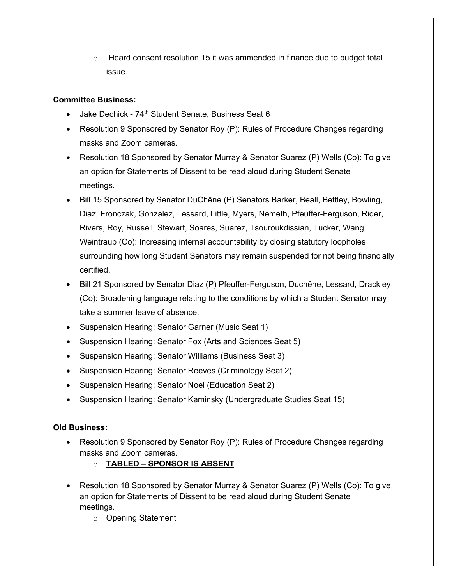$\circ$  Heard consent resolution 15 it was ammended in finance due to budget total issue.

## **Committee Business:**

- Jake Dechick 74th Student Senate, Business Seat 6
- Resolution 9 Sponsored by Senator Roy (P): Rules of Procedure Changes regarding masks and Zoom cameras.
- Resolution 18 Sponsored by Senator Murray & Senator Suarez (P) Wells (Co): To give an option for Statements of Dissent to be read aloud during Student Senate meetings.
- Bill 15 Sponsored by Senator DuChêne (P) Senators Barker, Beall, Bettley, Bowling, Diaz, Fronczak, Gonzalez, Lessard, Little, Myers, Nemeth, Pfeuffer-Ferguson, Rider, Rivers, Roy, Russell, Stewart, Soares, Suarez, Tsouroukdissian, Tucker, Wang, Weintraub (Co): Increasing internal accountability by closing statutory loopholes surrounding how long Student Senators may remain suspended for not being financially certified.
- Bill 21 Sponsored by Senator Diaz (P) Pfeuffer-Ferguson, Duchêne, Lessard, Drackley (Co): Broadening language relating to the conditions by which a Student Senator may take a summer leave of absence.
- Suspension Hearing: Senator Garner (Music Seat 1)
- Suspension Hearing: Senator Fox (Arts and Sciences Seat 5)
- Suspension Hearing: Senator Williams (Business Seat 3)
- Suspension Hearing: Senator Reeves (Criminology Seat 2)
- Suspension Hearing: Senator Noel (Education Seat 2)
- Suspension Hearing: Senator Kaminsky (Undergraduate Studies Seat 15)

## **Old Business:**

- Resolution 9 Sponsored by Senator Roy (P): Rules of Procedure Changes regarding masks and Zoom cameras.
	- o **TABLED – SPONSOR IS ABSENT**
- Resolution 18 Sponsored by Senator Murray & Senator Suarez (P) Wells (Co): To give an option for Statements of Dissent to be read aloud during Student Senate meetings.
	- o Opening Statement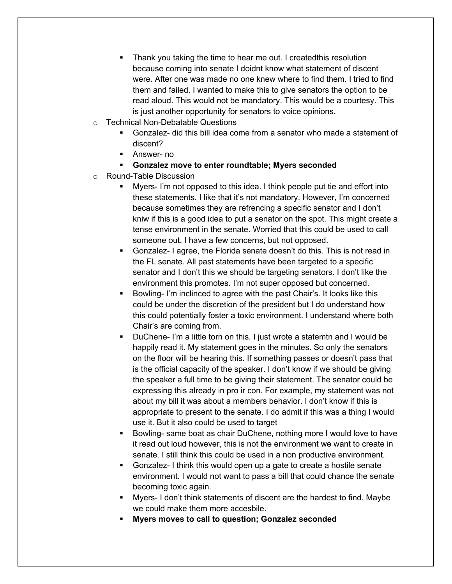- Thank you taking the time to hear me out. I created this resolution because coming into senate I doidnt know what statement of discent were. After one was made no one knew where to find them. I tried to find them and failed. I wanted to make this to give senators the option to be read aloud. This would not be mandatory. This would be a courtesy. This is just another opportunity for senators to voice opinions.
- o Technical Non-Debatable Questions
	- § Gonzalez- did this bill idea come from a senator who made a statement of discent?
	- Answer- no
	- § **Gonzalez move to enter roundtable; Myers seconded**
- o Round-Table Discussion
	- § Myers- I'm not opposed to this idea. I think people put tie and effort into these statements. I like that it's not mandatory. However, I'm concerned because sometimes they are refrencing a specific senator and I don't kniw if this is a good idea to put a senator on the spot. This might create a tense environment in the senate. Worried that this could be used to call someone out. I have a few concerns, but not opposed.
	- § Gonzalez- I agree, the Florida senate doesn't do this. This is not read in the FL senate. All past statements have been targeted to a specific senator and I don't this we should be targeting senators. I don't like the environment this promotes. I'm not super opposed but concerned.
	- § Bowling- I'm inclinced to agree with the past Chair's. It looks like this could be under the discretion of the president but I do understand how this could potentially foster a toxic environment. I understand where both Chair's are coming from.
	- § DuChene- I'm a little torn on this. I just wrote a statemtn and I would be happily read it. My statement goes in the minutes. So only the senators on the floor will be hearing this. If something passes or doesn't pass that is the official capacity of the speaker. I don't know if we should be giving the speaker a full time to be giving their statement. The senator could be expressing this already in pro ir con. For example, my statement was not about my bill it was about a members behavior. I don't know if this is appropriate to present to the senate. I do admit if this was a thing I would use it. But it also could be used to target
	- Bowling- same boat as chair DuChene, nothing more I would love to have it read out loud however, this is not the environment we want to create in senate. I still think this could be used in a non productive environment.
	- § Gonzalez- I think this would open up a gate to create a hostile senate environment. I would not want to pass a bill that could chance the senate becoming toxic again.
	- § Myers- I don't think statements of discent are the hardest to find. Maybe we could make them more accesbile.
	- § **Myers moves to call to question; Gonzalez seconded**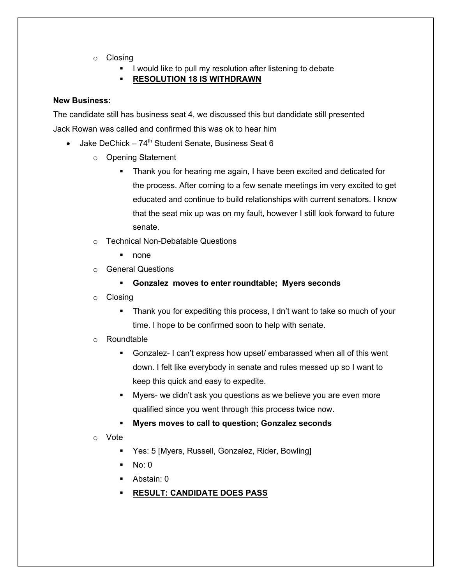- o Closing
	- I would like to pull my resolution after listening to debate

§ **RESOLUTION 18 IS WITHDRAWN**

#### **New Business:**

The candidate still has business seat 4, we discussed this but dandidate still presented Jack Rowan was called and confirmed this was ok to hear him

- Jake DeChick  $74<sup>th</sup>$  Student Senate, Business Seat 6
	- o Opening Statement
		- Thank you for hearing me again, I have been excited and deticated for the process. After coming to a few senate meetings im very excited to get educated and continue to build relationships with current senators. I know that the seat mix up was on my fault, however I still look forward to future senate.
	- o Technical Non-Debatable Questions
		- none
	- o General Questions
		- § **Gonzalez moves to enter roundtable; Myers seconds**
	- o Closing
		- § Thank you for expediting this process, I dn't want to take so much of your time. I hope to be confirmed soon to help with senate.

#### o Roundtable

- § Gonzalez- I can't express how upset/ embarassed when all of this went down. I felt like everybody in senate and rules messed up so I want to keep this quick and easy to expedite.
- Myers- we didn't ask you questions as we believe you are even more qualified since you went through this process twice now.
- § **Myers moves to call to question; Gonzalez seconds**
- o Vote
	- Yes: 5 [Myers, Russell, Gonzalez, Rider, Bowling]
	- $No: 0$
	- § Abstain: 0
	- § **RESULT: CANDIDATE DOES PASS**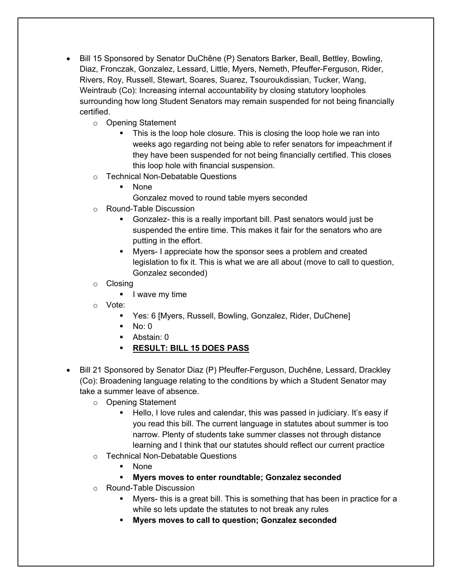- Bill 15 Sponsored by Senator DuChêne (P) Senators Barker, Beall, Bettley, Bowling, Diaz, Fronczak, Gonzalez, Lessard, Little, Myers, Nemeth, Pfeuffer-Ferguson, Rider, Rivers, Roy, Russell, Stewart, Soares, Suarez, Tsouroukdissian, Tucker, Wang, Weintraub (Co): Increasing internal accountability by closing statutory loopholes surrounding how long Student Senators may remain suspended for not being financially certified.
	- o Opening Statement
		- This is the loop hole closure. This is closing the loop hole we ran into weeks ago regarding not being able to refer senators for impeachment if they have been suspended for not being financially certified. This closes this loop hole with financial suspension.
	- o Technical Non-Debatable Questions
		- § None
			- Gonzalez moved to round table myers seconded
	- o Round-Table Discussion
		- Gonzalez- this is a really important bill. Past senators would just be suspended the entire time. This makes it fair for the senators who are putting in the effort.
		- § Myers- I appreciate how the sponsor sees a problem and created legislation to fix it. This is what we are all about (move to call to question, Gonzalez seconded)
	- o Closing
		- I wave my time
	- o Vote:
		- § Yes: 6 [Myers, Russell, Bowling, Gonzalez, Rider, DuChene]
		- $\blacksquare$  No: 0
		- § Abstain: 0
		- § **RESULT: BILL 15 DOES PASS**
- Bill 21 Sponsored by Senator Diaz (P) Pfeuffer-Ferguson, Duchêne, Lessard, Drackley (Co): Broadening language relating to the conditions by which a Student Senator may take a summer leave of absence.
	- o Opening Statement
		- Hello, I love rules and calendar, this was passed in judiciary. It's easy if you read this bill. The current language in statutes about summer is too narrow. Plenty of students take summer classes not through distance learning and I think that our statutes should reflect our current practice
	- o Technical Non-Debatable Questions
		- § None
		- § **Myers moves to enter roundtable; Gonzalez seconded**
	- o Round-Table Discussion
		- § Myers- this is a great bill. This is something that has been in practice for a while so lets update the statutes to not break any rules
		- § **Myers moves to call to question; Gonzalez seconded**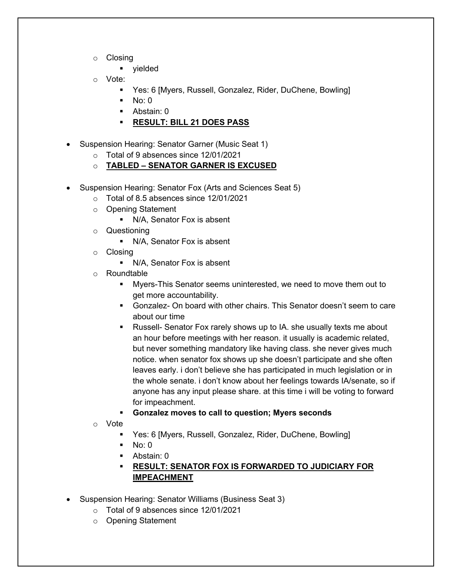- o Closing
	- § yielded
- o Vote:
	- § Yes: 6 [Myers, Russell, Gonzalez, Rider, DuChene, Bowling]
	- $\blacksquare$  No: 0
	- Abstain: 0
	- § **RESULT: BILL 21 DOES PASS**
- Suspension Hearing: Senator Garner (Music Seat 1)
	- o Total of 9 absences since 12/01/2021
	- o **TABLED – SENATOR GARNER IS EXCUSED**
- Suspension Hearing: Senator Fox (Arts and Sciences Seat 5)
	- o Total of 8.5 absences since 12/01/2021
	- o Opening Statement
		- N/A, Senator Fox is absent
	- o Questioning
		- N/A, Senator Fox is absent
	- o Closing
		- N/A, Senator Fox is absent
	- o Roundtable
		- § Myers-This Senator seems uninterested, we need to move them out to get more accountability.
		- § Gonzalez- On board with other chairs. This Senator doesn't seem to care about our time
		- Russell- Senator Fox rarely shows up to IA. she usually texts me about an hour before meetings with her reason. it usually is academic related, but never something mandatory like having class. she never gives much notice. when senator fox shows up she doesn't participate and she often leaves early. i don't believe she has participated in much legislation or in the whole senate. i don't know about her feelings towards IA/senate, so if anyone has any input please share. at this time i will be voting to forward for impeachment.

## § **Gonzalez moves to call to question; Myers seconds**

- o Vote
	- § Yes: 6 [Myers, Russell, Gonzalez, Rider, DuChene, Bowling]
	- $\blacksquare$  No: 0
	- § Abstain: 0
	- § **RESULT: SENATOR FOX IS FORWARDED TO JUDICIARY FOR IMPEACHMENT**
- Suspension Hearing: Senator Williams (Business Seat 3)
	- o Total of 9 absences since 12/01/2021
	- o Opening Statement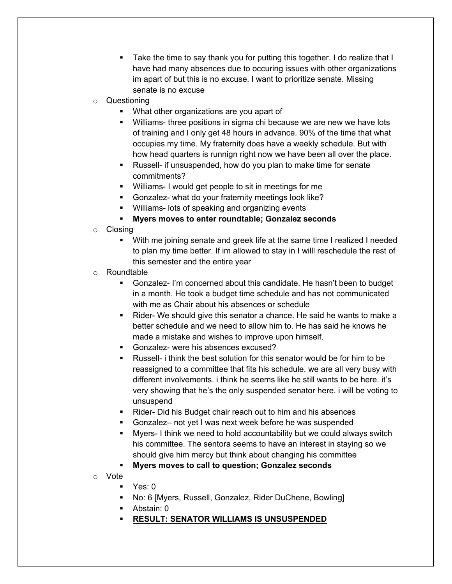- § Take the time to say thank you for putting this together. I do realize that I have had many absences due to occuring issues with other organizations im apart of but this is no excuse. I want to prioritize senate. Missing senate is no excuse
- o Questioning
	- What other organizations are you apart of
	- Williams- three positions in sigma chi because we are new we have lots of training and I only get 48 hours in advance. 90% of the time that what occupies my time. My fraternity does have a weekly schedule. But with how head quarters is runnign right now we have been all over the place.
	- Russell- if unsuspended, how do you plan to make time for senate commitments?
	- § Williams- I would get people to sit in meetings for me
	- § Gonzalez- what do your fraternity meetings look like?
	- Williams- lots of speaking and organizing events
	- § **Myers moves to enter roundtable; Gonzalez seconds**
- o Closing
	- With me joining senate and greek life at the same time I realized I needed to plan my time better. If im allowed to stay in I willl reschedule the rest of this semester and the entire year
- o Roundtable
	- § Gonzalez- I'm concerned about this candidate. He hasn't been to budget in a month. He took a budget time schedule and has not communicated with me as Chair about his absences or schedule
	- Rider- We should give this senator a chance. He said he wants to make a better schedule and we need to allow him to. He has said he knows he made a mistake and wishes to improve upon himself.
	- § Gonzalez- were his absences excused?
	- § Russell- i think the best solution for this senator would be for him to be reassigned to a committee that fits his schedule. we are all very busy with different involvements. i think he seems like he still wants to be here. it's very showing that he's the only suspended senator here. i will be voting to unsuspend
	- Rider- Did his Budget chair reach out to him and his absences
	- § Gonzalez– not yet I was next week before he was suspended
	- § Myers- I think we need to hold accountability but we could always switch his committee. The sentora seems to have an interest in staying so we should give him mercy but think about changing his committee
	- § **Myers moves to call to question; Gonzalez seconds**
- o Vote
	- Yes: 0
	- No: 6 [Myers, Russell, Gonzalez, Rider DuChene, Bowling]
	- § Abstain: 0
	- § **RESULT: SENATOR WILLIAMS IS UNSUSPENDED**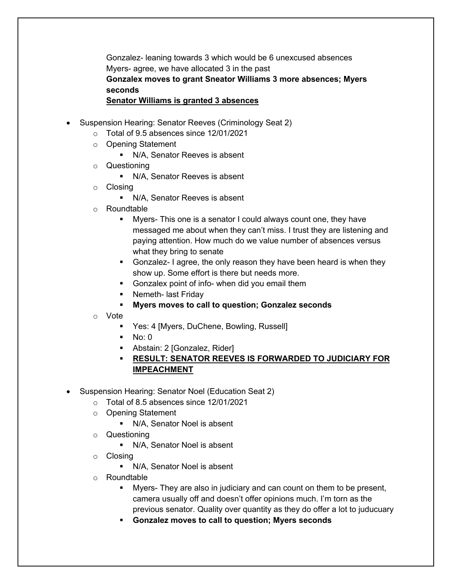Gonzalez- leaning towards 3 which would be 6 unexcused absences Myers- agree, we have allocated 3 in the past **Gonzalex moves to grant Sneator Williams 3 more absences; Myers seconds Senator Williams is granted 3 absences**

- Suspension Hearing: Senator Reeves (Criminology Seat 2)
	- o Total of 9.5 absences since 12/01/2021
	- o Opening Statement
		- N/A, Senator Reeves is absent
	- o Questioning
		- N/A, Senator Reeves is absent
	- o Closing
		- N/A, Senator Reeves is absent
	- o Roundtable
		- § Myers- This one is a senator I could always count one, they have messaged me about when they can't miss. I trust they are listening and paying attention. How much do we value number of absences versus what they bring to senate
		- § Gonzalez- I agree, the only reason they have been heard is when they show up. Some effort is there but needs more.
		- **•** Gonzalex point of info- when did you email them
		- Nemeth- last Friday
		- § **Myers moves to call to question; Gonzalez seconds**
	- o Vote
		- Yes: 4 [Myers, DuChene, Bowling, Russell]
		- $\blacksquare$  No: 0
		- Abstain: 2 [Gonzalez, Rider]
		- § **RESULT: SENATOR REEVES IS FORWARDED TO JUDICIARY FOR IMPEACHMENT**
- Suspension Hearing: Senator Noel (Education Seat 2)
	- o Total of 8.5 absences since 12/01/2021
	- o Opening Statement
		- § N/A, Senator Noel is absent
	- o Questioning
		- N/A, Senator Noel is absent
	- o Closing
		- N/A, Senator Noel is absent
	- o Roundtable
		- § Myers- They are also in judiciary and can count on them to be present, camera usually off and doesn't offer opinions much. I'm torn as the previous senator. Quality over quantity as they do offer a lot to juducuary
		- § **Gonzalez moves to call to question; Myers seconds**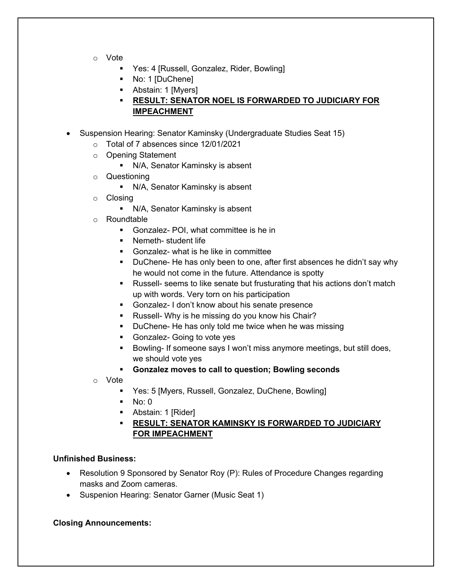- o Vote
	- Yes: 4 [Russell, Gonzalez, Rider, Bowling]
	- No: 1 [DuChene]
	- Abstain: 1 [Myers]
	- § **RESULT: SENATOR NOEL IS FORWARDED TO JUDICIARY FOR IMPEACHMENT**
- Suspension Hearing: Senator Kaminsky (Undergraduate Studies Seat 15)
	- o Total of 7 absences since 12/01/2021
	- o Opening Statement
		- N/A, Senator Kaminsky is absent
	- o Questioning
		- N/A, Senator Kaminsky is absent
	- o Closing
		- N/A, Senator Kaminsky is absent
	- o Roundtable
		- Gonzalez- POI, what committee is he in
		- Nemeth- student life
		- § Gonzalez- what is he like in committee
		- § DuChene- He has only been to one, after first absences he didn't say why he would not come in the future. Attendance is spotty
		- Russell- seems to like senate but frusturating that his actions don't match up with words. Very torn on his participation
		- § Gonzalez- I don't know about his senate presence
		- Russell- Why is he missing do you know his Chair?
		- DuChene- He has only told me twice when he was missing
		- § Gonzalez- Going to vote yes
		- Bowling- If someone says I won't miss anymore meetings, but still does, we should vote yes
		- § **Gonzalez moves to call to question; Bowling seconds**
	- o Vote
		- § Yes: 5 [Myers, Russell, Gonzalez, DuChene, Bowling]
		- $\blacksquare$  No: 0
		- Abstain: 1 [Rider]
		- § **RESULT: SENATOR KAMINSKY IS FORWARDED TO JUDICIARY FOR IMPEACHMENT**

### **Unfinished Business:**

- Resolution 9 Sponsored by Senator Roy (P): Rules of Procedure Changes regarding masks and Zoom cameras.
- Suspenion Hearing: Senator Garner (Music Seat 1)

#### **Closing Announcements:**